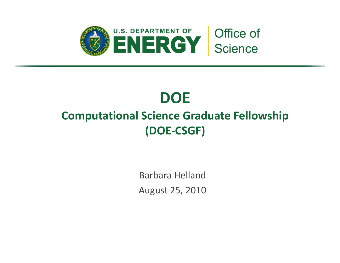

# **DOE**

## **Computational Science Graduate Fellowship (DOE‐CSGF)**

Barbara HellandAugust 25, 2010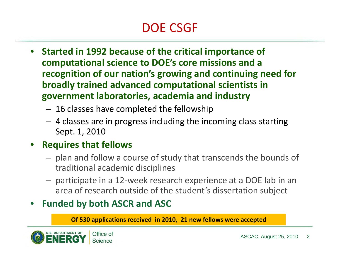# DOE CSGF

- $\bullet$  **Started in 1992 because of the critical importance of computational science to DOE's core missions and <sup>a</sup> recognition of our nation's growing and continuing need for broadly trained advanced computational scientists in government laboratories, academia and industry**
	- – $\, - \,$  16 classes have completed the fellowship
	- 4 classes are in progress including the incoming class starting Sept. 1, 2010
- **Requires that fellows**
	- $-$  plan and follow a course of study that transcends the bounds of traditional academic disciplines
	- participate in <sup>a</sup> 12‐week research experience at <sup>a</sup> DOE lab in an area of research outside of the student's dissertation subject

### • **Funded by both ASCR and ASC**

**Of 530 applications received in 2010, 21 new fellows were accepted**

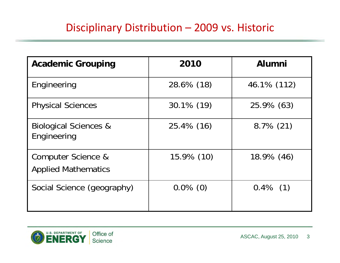### Disciplinary Distribution – 2009 vs. Historic

| <b>Academic Grouping</b>                         | 2010        | <b>Alumni</b> |
|--------------------------------------------------|-------------|---------------|
| Engineering                                      | 28.6% (18)  | 46.1% (112)   |
| <b>Physical Sciences</b>                         | 30.1% (19)  | 25.9% (63)    |
| <b>Biological Sciences &amp;</b><br>Engineering  | 25.4% (16)  | $8.7\%$ (21)  |
| Computer Science &<br><b>Applied Mathematics</b> | 15.9% (10)  | $18.9\%$ (46) |
| Social Science (geography)                       | $0.0\%$ (0) | $0.4\%$ (1)   |

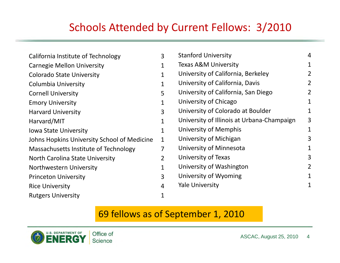### Schools Attended by Current Fellows: 3/2010

| California Institute of Technology          | 3              |
|---------------------------------------------|----------------|
| <b>Carnegie Mellon University</b>           | 1              |
| <b>Colorado State University</b>            | 1              |
| Columbia University                         | 1              |
| <b>Cornell University</b>                   | 5              |
| <b>Emory University</b>                     | 1              |
| <b>Harvard University</b>                   | 3              |
| Harvard/MIT                                 | 1              |
| <b>Iowa State University</b>                | 1              |
| Johns Hopkins University School of Medicine | $\overline{1}$ |
| Massachusetts Institute of Technology       | 7              |
| North Carolina State University             | 2              |
| Northwestern University                     | 1              |
| <b>Princeton University</b>                 | 3              |
| <b>Rice University</b>                      | 4              |
| <b>Rutgers University</b>                   | 1              |

| <b>Stanford University</b>                 | 4              |
|--------------------------------------------|----------------|
| <b>Texas A&amp;M University</b>            | 1              |
| University of California, Berkeley         | 2              |
| University of California, Davis            | $\overline{2}$ |
| University of California, San Diego        | 2              |
| University of Chicago                      | 1              |
| University of Colorado at Boulder          | 1              |
| University of Illinois at Urbana-Champaign | 3              |
| University of Memphis                      | 1              |
| University of Michigan                     | 3              |
| University of Minnesota                    | 1              |
| University of Texas                        | 3              |
| University of Washington                   | 2              |
| University of Wyoming                      | 1              |
| Yale University                            | 1              |
|                                            |                |

### 69 fellows as of September 1, 2010

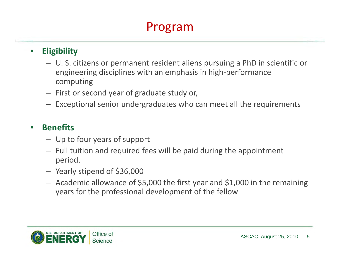# Program

#### $\bullet$ **Eligibility**

- U. S. citizens or permanent resident aliens pursuing <sup>a</sup> PhD in scientific or engineering disciplines with an emphasis in high‐performance computing
- First or second year of graduate study or,
- Exceptional senior undergraduates who can meet all the requirements

#### •**Benefits**

- Up to four years of support
- Full tuition and required fees will be paid during the appointment period.
- Yearly stipend of \$36,000
- Academic allowance of \$5,000 the first year and \$1,000 in the remaining years for the professional development of the fellow

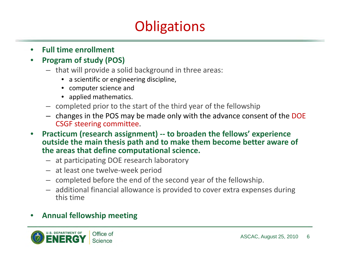# **Obligations**

 $\bullet$ **Full time enrollment**

#### •**Program of study (POS)**

- that will provide <sup>a</sup> solid background in three areas:
	- a scientific or engineering discipline,
	- computer science and
	- applied mathematics.
- completed prior to the start of the third year of the fellowship
- changes in the POS may be made only with the advance consent of the DOE CSGF steering committee.
- • **Practicum (research assignment) ‐‐ to broaden the fellows' experience outside the main thesis path and to make them become better aware of the areas that define computational science.**
	- at participating DOE research laboratory
	- at least one twelve‐week period
	- completed before the end of the second year of the fellowship.
	- additional financial allowance is provided to cover extra expenses during this time

#### •**Annual fellowship meeting**

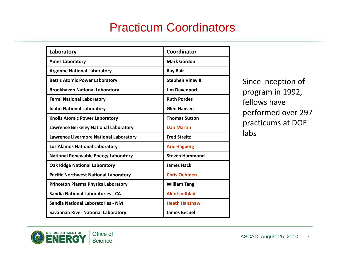### Practicum Coordinators

| Laboratory                                    | Coordinator              |
|-----------------------------------------------|--------------------------|
| <b>Ames Laboratory</b>                        | <b>Mark Gordon</b>       |
| <b>Argonne National Laboratory</b>            | <b>Ray Bair</b>          |
| <b>Bettis Atomic Power Laboratory</b>         | <b>Stephen Vinay III</b> |
| <b>Brookhaven National Laboratory</b>         | <b>Jim Davenport</b>     |
| <b>Fermi National Laboratory</b>              | <b>Ruth Pordes</b>       |
| <b>Idaho National Laboratory</b>              | <b>Glen Hansen</b>       |
| <b>Knolls Atomic Power Laboratory</b>         | <b>Thomas Sutton</b>     |
| <b>Lawrence Berkeley National Laboratory</b>  | <b>Dan Martin</b>        |
| <b>Lawrence Livermore National Laboratory</b> | <b>Fred Streitz</b>      |
| <b>Los Alamos National Laboratory</b>         | <b>Aric Hagberg</b>      |
| <b>National Renewable Energy Laboratory</b>   | <b>Steven Hammond</b>    |
| <b>Oak Ridge National Laboratory</b>          | <b>James Hack</b>        |
| <b>Pacific Northwest National Laboratory</b>  | <b>Chris Oehmen</b>      |
| <b>Princeton Plasma Physics Laboratory</b>    | <b>William Tang</b>      |
| <b>Sandia National Laboratories - CA</b>      | <b>Alex Lindblad</b>     |
| <b>Sandia National Laboratories - NM</b>      | <b>Heath Hanshaw</b>     |
| <b>Savannah River National Laboratory</b>     | <b>James Becnel</b>      |

Since inception of program in 1992, fellows have performed over 297 practicums at DOE labs

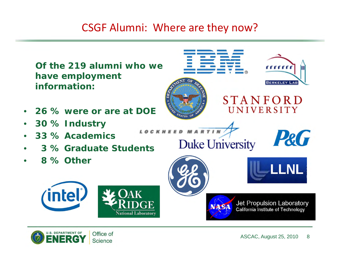### CSGF Alumni: Where are they now?



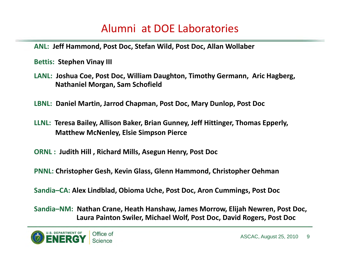### Alumni at DOE Laboratories

**ANL: Jeff Hammond, Post Doc, Stefan Wild, Post Doc, Allan Wollaber**

**Bettis: Stephen Vinay III**

- **LANL: Joshua Coe, Post Doc, William Daughton, Timothy Germann, Aric Hagberg, Nathaniel Morgan, Sam Schofield**
- **LBNL: Daniel Martin, Jarrod Chapman, Post Doc, Mary Dunlop, Post Doc**
- **LLNL: Teresa Bailey, Allison Baker, Brian Gunney, Jeff Hittinger, Thomas Epperly, Matthew McNenley, Elsie Simpson Pierce**
- **ORNL : Judith Hill , Richard Mills, Asegun Henry, Post Doc**
- **PNNL: Christopher Gesh, Kevin Glass, Glenn Hammond, Christopher Oehman**

**Sandia–CA: Alex Lindblad, Obioma Uche, Post Doc, Aron Cummings, Post Doc**

**Sandia–NM: Nathan Crane, Heath Hanshaw, James Morrow, Elijah Newren, Post Doc, Laura Painton Swiler, Michael Wolf, Post Doc, David Rogers, Post Doc**

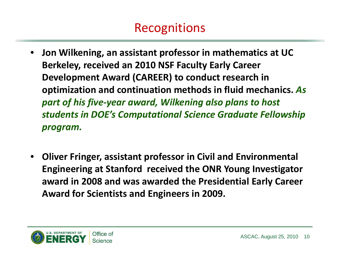# Recognitions

- $\bullet$  **Jon Wilkening, an assistant professor in mathematics at UC Berkeley, received an 2010 NSF Faculty Early Career Development Award (CAREER) to conduct research in optimization and continuation methods in fluid mechanics.** *As part of his five‐year award, Wilkening also plans to host students in DOE's Computational Science Graduate Fellowship program.*
- • **Oliver Fringer, assistant professor in Civil and Environmental Engineering at Stanford received the ONR Young Investigator award in 2008 and was awarded the Presidential Early Career Award for Scientists and Engineers in 2009.**